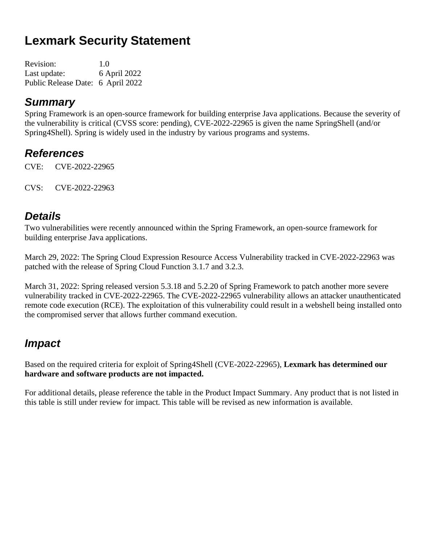# **Lexmark Security Statement**

| Revision:                         | 1.0          |
|-----------------------------------|--------------|
| Last update:                      | 6 April 2022 |
| Public Release Date: 6 April 2022 |              |

#### *Summary*

Spring Framework is an open-source framework for building enterprise Java applications. Because the severity of the vulnerability is critical (CVSS score: pending), CVE-2022-22965 is given the name SpringShell (and/or Spring4Shell). Spring is widely used in the industry by various programs and systems.

### *References*

CVE: CVE-2022-22965

CVS: CVE-2022-22963

### *Details*

Two vulnerabilities were recently announced within the Spring Framework, an open-source framework for building enterprise Java applications.

March 29, 2022: The Spring Cloud Expression Resource Access Vulnerability tracked in CVE-2022-22963 was patched with the release of Spring Cloud Function 3.1.7 and 3.2.3.

March 31, 2022: Spring released version 5.3.18 and 5.2.20 of Spring Framework to patch another more severe vulnerability tracked in CVE-2022-22965. The CVE-2022-22965 vulnerability allows an attacker unauthenticated remote code execution (RCE). The exploitation of this vulnerability could result in a webshell being installed onto the compromised server that allows further command execution.

## *Impact*

Based on the required criteria for exploit of Spring4Shell (CVE-2022-22965), **Lexmark has determined our hardware and software products are not impacted.**

For additional details, please reference the table in the Product Impact Summary. Any product that is not listed in this table is still under review for impact. This table will be revised as new information is available.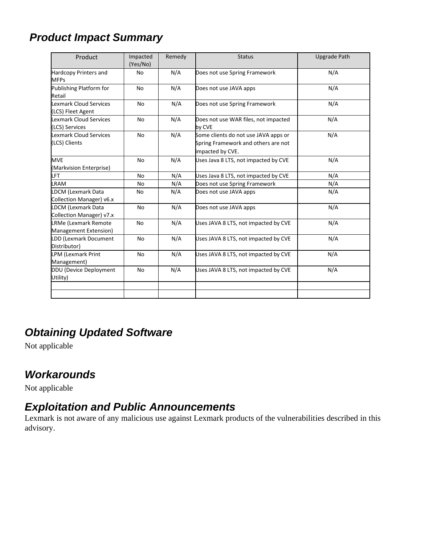# *Product Impact Summary*

| Product                                               | Impacted<br>(Yes/No) | Remedy | <b>Status</b>                                                                                   | <b>Upgrade Path</b> |
|-------------------------------------------------------|----------------------|--------|-------------------------------------------------------------------------------------------------|---------------------|
| Hardcopy Printers and<br><b>MFPs</b>                  | No                   | N/A    | Does not use Spring Framework                                                                   | N/A                 |
| Publishing Platform for<br>Retail                     | <b>No</b>            | N/A    | Does not use JAVA apps                                                                          | N/A                 |
| <b>Lexmark Cloud Services</b><br>(LCS) Fleet Agent    | <b>No</b>            | N/A    | Does not use Spring Framework                                                                   | N/A                 |
| <b>Lexmark Cloud Services</b><br>(LCS) Services       | No                   | N/A    | Does not use WAR files, not impacted<br>by CVE                                                  | N/A                 |
| <b>Lexmark Cloud Services</b><br>(LCS) Clients        | <b>No</b>            | N/A    | Some clients do not use JAVA apps or<br>Spring Framework and others are not<br>impacted by CVE. | N/A                 |
| <b>MVE</b><br>(Markvision Enterprise)                 | No                   | N/A    | Uses Java 8 LTS, not impacted by CVE                                                            | N/A                 |
| LFT                                                   | No                   | N/A    | Uses Java 8 LTS, not impacted by CVE                                                            | N/A                 |
| LRAM                                                  | No                   | N/A    | Does not use Spring Framework                                                                   | N/A                 |
| <b>LDCM (Lexmark Data</b><br>Collection Manager) v6.x | No                   | N/A    | Does not use JAVA apps                                                                          | N/A                 |
| <b>LDCM (Lexmark Data</b><br>Collection Manager) v7.x | <b>No</b>            | N/A    | Does not use JAVA apps                                                                          | N/A                 |
| LRMe (Lexmark Remote<br>Management Extension)         | No                   | N/A    | Uses JAVA 8 LTS, not impacted by CVE                                                            | N/A                 |
| LDD (Lexmark Document<br>Distributor)                 | No                   | N/A    | Uses JAVA 8 LTS, not impacted by CVE                                                            | N/A                 |
| <b>LPM (Lexmark Print</b><br>Management)              | No                   | N/A    | Uses JAVA 8 LTS, not impacted by CVE                                                            | N/A                 |
| DDU (Device Deployment<br>Utility)                    | No                   | N/A    | Uses JAVA 8 LTS, not impacted by CVE                                                            | N/A                 |
|                                                       |                      |        |                                                                                                 |                     |

# *Obtaining Updated Software*

Not applicable

### *Workarounds*

Not applicable

### *Exploitation and Public Announcements*

Lexmark is not aware of any malicious use against Lexmark products of the vulnerabilities described in this advisory.